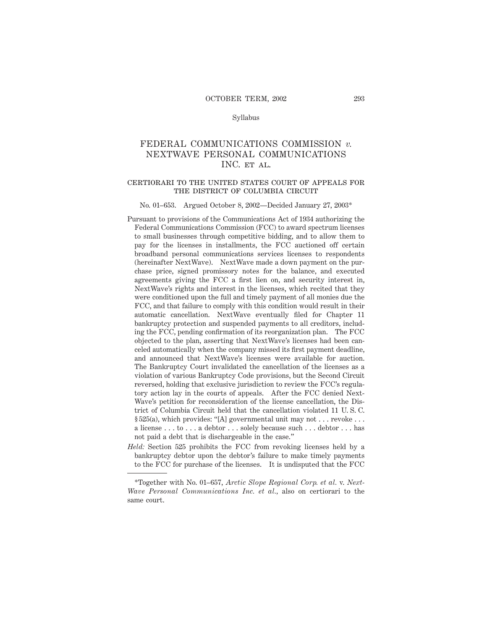## Syllabus

# FEDERAL COMMUNICATIONS COMMISSION *v.* NEXTWAVE PERSONAL COMMUNICATIONS INC. et al.

# certiorari to the united states court of appeals for THE DISTRICT OF COLUMBIA CIRCUIT

#### No. 01–653. Argued October 8, 2002—Decided January 27, 2003\*

- Pursuant to provisions of the Communications Act of 1934 authorizing the Federal Communications Commission (FCC) to award spectrum licenses to small businesses through competitive bidding, and to allow them to pay for the licenses in installments, the FCC auctioned off certain broadband personal communications services licenses to respondents (hereinafter NextWave). NextWave made a down payment on the purchase price, signed promissory notes for the balance, and executed agreements giving the FCC a first lien on, and security interest in, NextWave's rights and interest in the licenses, which recited that they were conditioned upon the full and timely payment of all monies due the FCC, and that failure to comply with this condition would result in their automatic cancellation. NextWave eventually filed for Chapter 11 bankruptcy protection and suspended payments to all creditors, including the FCC, pending confirmation of its reorganization plan. The FCC objected to the plan, asserting that NextWave's licenses had been canceled automatically when the company missed its first payment deadline, and announced that NextWave's licenses were available for auction. The Bankruptcy Court invalidated the cancellation of the licenses as a violation of various Bankruptcy Code provisions, but the Second Circuit reversed, holding that exclusive jurisdiction to review the FCC's regulatory action lay in the courts of appeals. After the FCC denied Next-Wave's petition for reconsideration of the license cancellation, the District of Columbia Circuit held that the cancellation violated 11 U. S. C.  $\S 525(a)$ , which provides: "[A] governmental unit may not . . . revoke . . . a license . . . to . . . a debtor . . . solely because such . . . debtor . . . has not paid a debt that is dischargeable in the case."
- *Held:* Section 525 prohibits the FCC from revoking licenses held by a bankruptcy debtor upon the debtor's failure to make timely payments to the FCC for purchase of the licenses. It is undisputed that the FCC

<sup>\*</sup>Together with No. 01–657, *Arctic Slope Regional Corp. et al.* v. *Next-Wave Personal Communications Inc. et al.,* also on certiorari to the same court.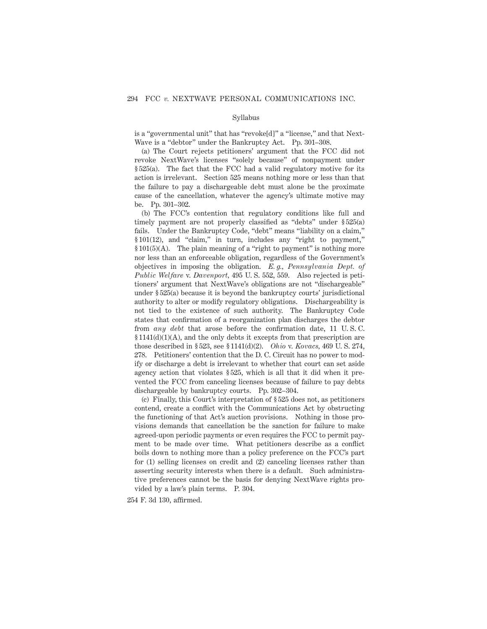## Syllabus

is a "governmental unit" that has "revoke[d]" a "license," and that Next-Wave is a "debtor" under the Bankruptcy Act. Pp. 301–308.

(a) The Court rejects petitioners' argument that the FCC did not revoke NextWave's licenses "solely because" of nonpayment under § 525(a). The fact that the FCC had a valid regulatory motive for its action is irrelevant. Section 525 means nothing more or less than that the failure to pay a dischargeable debt must alone be the proximate cause of the cancellation, whatever the agency's ultimate motive may be. Pp. 301–302.

(b) The FCC's contention that regulatory conditions like full and timely payment are not properly classified as "debts" under § 525(a) fails. Under the Bankruptcy Code, "debt" means "liability on a claim," § 101(12), and "claim," in turn, includes any "right to payment," § 101(5)(A). The plain meaning of a "right to payment" is nothing more nor less than an enforceable obligation, regardless of the Government's objectives in imposing the obligation. *E. g., Pennsylvania Dept. of Public Welfare* v. *Davenport,* 495 U. S. 552, 559. Also rejected is petitioners' argument that NextWave's obligations are not "dischargeable" under § 525(a) because it is beyond the bankruptcy courts' jurisdictional authority to alter or modify regulatory obligations. Dischargeability is not tied to the existence of such authority. The Bankruptcy Code states that confirmation of a reorganization plan discharges the debtor from *any debt* that arose before the confirmation date, 11 U. S. C.  $§ 1141(d)(1)(A)$ , and the only debts it excepts from that prescription are those described in § 523, see § 1141(d)(2). *Ohio* v. *Kovacs,* 469 U. S. 274, 278. Petitioners' contention that the D. C. Circuit has no power to modify or discharge a debt is irrelevant to whether that court can set aside agency action that violates § 525, which is all that it did when it prevented the FCC from canceling licenses because of failure to pay debts dischargeable by bankruptcy courts. Pp. 302–304.

(c) Finally, this Court's interpretation of § 525 does not, as petitioners contend, create a conflict with the Communications Act by obstructing the functioning of that Act's auction provisions. Nothing in those provisions demands that cancellation be the sanction for failure to make agreed-upon periodic payments or even requires the FCC to permit payment to be made over time. What petitioners describe as a conflict boils down to nothing more than a policy preference on the FCC's part for (1) selling licenses on credit and (2) canceling licenses rather than asserting security interests when there is a default. Such administrative preferences cannot be the basis for denying NextWave rights provided by a law's plain terms. P. 304.

254 F. 3d 130, affirmed.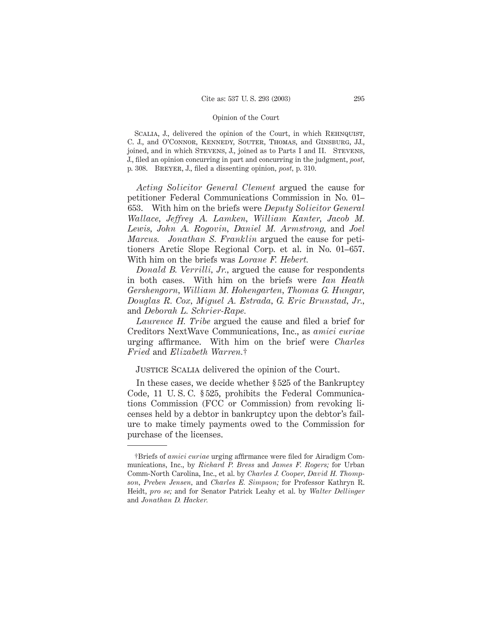SCALIA, J., delivered the opinion of the Court, in which REHNQUIST, C. J., and O'Connor, Kennedy, Souter, Thomas, and Ginsburg, JJ., joined, and in which STEVENS, J., joined as to Parts I and II. STEVENS, J., filed an opinion concurring in part and concurring in the judgment, *post,* p. 308. Breyer, J., filed a dissenting opinion, *post,* p. 310.

*Acting Solicitor General Clement* argued the cause for petitioner Federal Communications Commission in No. 01– 653. With him on the briefs were *Deputy Solicitor General Wallace, Jeffrey A. Lamken, William Kanter, Jacob M. Lewis, John A. Rogovin, Daniel M. Armstrong,* and *Joel Marcus. Jonathan S. Franklin* argued the cause for petitioners Arctic Slope Regional Corp. et al. in No. 01–657. With him on the briefs was *Lorane F. Hebert.*

*Donald B. Verrilli, Jr.,* argued the cause for respondents in both cases. With him on the briefs were *Ian Heath Gershengorn, William M. Hohengarten, Thomas G. Hungar, Douglas R. Cox, Miguel A. Estrada, G. Eric Brunstad, Jr.,* and *Deborah L. Schrier-Rape.*

*Laurence H. Tribe* argued the cause and filed a brief for Creditors NextWave Communications, Inc., as *amici curiae* urging affirmance. With him on the brief were *Charles Fried* and *Elizabeth Warren.*†

Justice Scalia delivered the opinion of the Court.

In these cases, we decide whether § 525 of the Bankruptcy Code, 11 U. S. C. § 525, prohibits the Federal Communications Commission (FCC or Commission) from revoking licenses held by a debtor in bankruptcy upon the debtor's failure to make timely payments owed to the Commission for purchase of the licenses.

<sup>†</sup>Briefs of *amici curiae* urging affirmance were filed for Airadigm Communications, Inc., by *Richard P. Bress* and *James F. Rogers;* for Urban Comm-North Carolina, Inc., et al. by *Charles J. Cooper, David H. Thompson, Preben Jensen,* and *Charles E. Simpson;* for Professor Kathryn R. Heidt, *pro se;* and for Senator Patrick Leahy et al. by *Walter Dellinger* and *Jonathan D. Hacker.*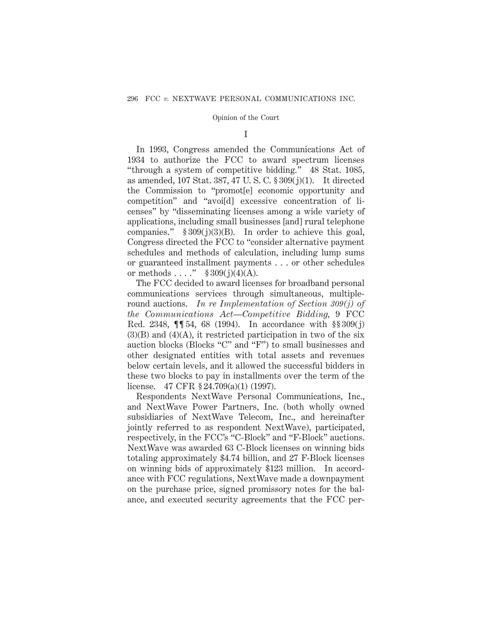## I

In 1993, Congress amended the Communications Act of 1934 to authorize the FCC to award spectrum licenses "through a system of competitive bidding." 48 Stat. 1085, as amended, 107 Stat. 387, 47 U. S. C. § 309(j)(1). It directed the Commission to "promot[e] economic opportunity and competition" and "avoi[d] excessive concentration of licenses" by "disseminating licenses among a wide variety of applications, including small businesses [and] rural telephone companies."  $§ 309(j)(3)(B)$ . In order to achieve this goal, Congress directed the FCC to "consider alternative payment schedules and methods of calculation, including lump sums or guaranteed installment payments . . . or other schedules or methods . . . ."  $$309(j)(4)(A)$ .

The FCC decided to award licenses for broadband personal communications services through simultaneous, multipleround auctions. *In re Implementation of Section 309(j) of the Communications Act*—*Competitive Bidding,* 9 FCC Rcd. 2348, ¶¶ 54, 68 (1994). In accordance with §§ 309(j)  $(3)(B)$  and  $(4)(A)$ , it restricted participation in two of the six auction blocks (Blocks "C" and "F") to small businesses and other designated entities with total assets and revenues below certain levels, and it allowed the successful bidders in these two blocks to pay in installments over the term of the license. 47 CFR § 24.709(a)(1) (1997).

Respondents NextWave Personal Communications, Inc., and NextWave Power Partners, Inc. (both wholly owned subsidiaries of NextWave Telecom, Inc., and hereinafter jointly referred to as respondent NextWave), participated, respectively, in the FCC's "C-Block" and "F-Block" auctions. NextWave was awarded 63 C-Block licenses on winning bids totaling approximately \$4.74 billion, and 27 F-Block licenses on winning bids of approximately \$123 million. In accordance with FCC regulations, NextWave made a downpayment on the purchase price, signed promissory notes for the balance, and executed security agreements that the FCC per-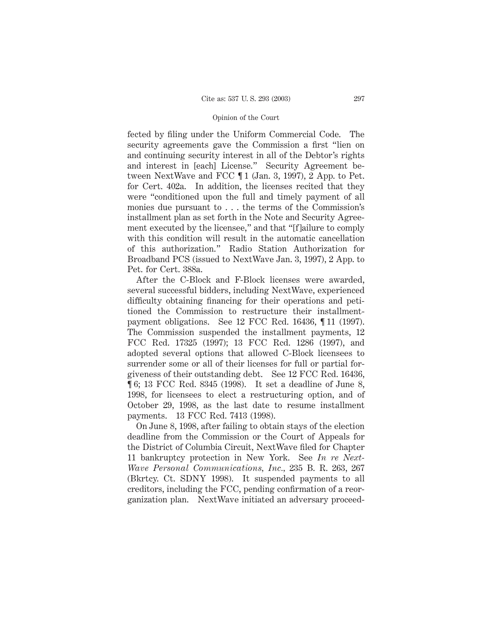fected by filing under the Uniform Commercial Code. The security agreements gave the Commission a first "lien on and continuing security interest in all of the Debtor's rights and interest in [each] License." Security Agreement between NextWave and FCC ¶ 1 (Jan. 3, 1997), 2 App. to Pet. for Cert. 402a. In addition, the licenses recited that they were "conditioned upon the full and timely payment of all monies due pursuant to . . . the terms of the Commission's installment plan as set forth in the Note and Security Agreement executed by the licensee," and that "[f]ailure to comply with this condition will result in the automatic cancellation of this authorization." Radio Station Authorization for Broadband PCS (issued to NextWave Jan. 3, 1997), 2 App. to Pet. for Cert. 388a.

After the C-Block and F-Block licenses were awarded, several successful bidders, including NextWave, experienced difficulty obtaining financing for their operations and petitioned the Commission to restructure their installmentpayment obligations. See 12 FCC Rcd. 16436, ¶ 11 (1997). The Commission suspended the installment payments, 12 FCC Rcd. 17325 (1997); 13 FCC Rcd. 1286 (1997), and adopted several options that allowed C-Block licensees to surrender some or all of their licenses for full or partial forgiveness of their outstanding debt. See 12 FCC Rcd. 16436, ¶ 6; 13 FCC Rcd. 8345 (1998). It set a deadline of June 8, 1998, for licensees to elect a restructuring option, and of October 29, 1998, as the last date to resume installment payments. 13 FCC Rcd. 7413 (1998).

On June 8, 1998, after failing to obtain stays of the election deadline from the Commission or the Court of Appeals for the District of Columbia Circuit, NextWave filed for Chapter 11 bankruptcy protection in New York. See *In re Next-Wave Personal Communications, Inc.,* 235 B. R. 263, 267 (Bkrtcy. Ct. SDNY 1998). It suspended payments to all creditors, including the FCC, pending confirmation of a reorganization plan. NextWave initiated an adversary proceed-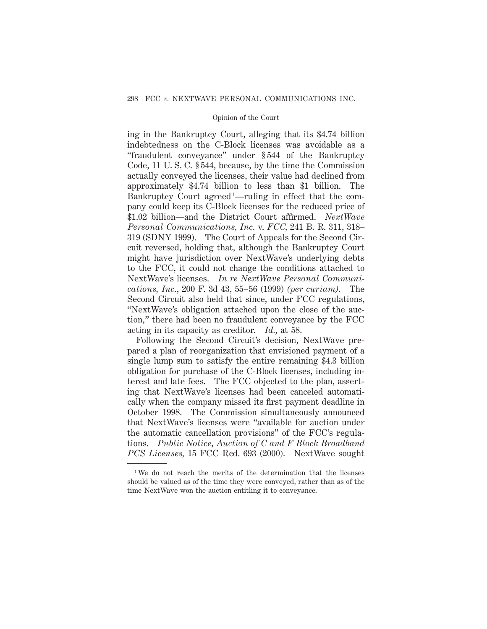ing in the Bankruptcy Court, alleging that its \$4.74 billion indebtedness on the C-Block licenses was avoidable as a "fraudulent conveyance" under § 544 of the Bankruptcy Code, 11 U. S. C. § 544, because, by the time the Commission actually conveyed the licenses, their value had declined from approximately \$4.74 billion to less than \$1 billion. The Bankruptcy Court agreed<sup>1</sup>—ruling in effect that the company could keep its C-Block licenses for the reduced price of \$1.02 billion—and the District Court affirmed. *NextWave Personal Communications, Inc.* v. *FCC,* 241 B. R. 311, 318– 319 (SDNY 1999). The Court of Appeals for the Second Circuit reversed, holding that, although the Bankruptcy Court might have jurisdiction over NextWave's underlying debts to the FCC, it could not change the conditions attached to NextWave's licenses. *In re NextWave Personal Communications, Inc.*, 200 F. 3d 43, 55–56 (1999) *(per curiam).* The Second Circuit also held that since, under FCC regulations, "NextWave's obligation attached upon the close of the auction," there had been no fraudulent conveyance by the FCC acting in its capacity as creditor. *Id.,* at 58.

Following the Second Circuit's decision, NextWave prepared a plan of reorganization that envisioned payment of a single lump sum to satisfy the entire remaining \$4.3 billion obligation for purchase of the C-Block licenses, including interest and late fees. The FCC objected to the plan, asserting that NextWave's licenses had been canceled automatically when the company missed its first payment deadline in October 1998. The Commission simultaneously announced that NextWave's licenses were "available for auction under the automatic cancellation provisions" of the FCC's regulations. *Public Notice, Auction of C and F Block Broadband PCS Licenses,* 15 FCC Rcd. 693 (2000). NextWave sought

<sup>1</sup> We do not reach the merits of the determination that the licenses should be valued as of the time they were conveyed, rather than as of the time NextWave won the auction entitling it to conveyance.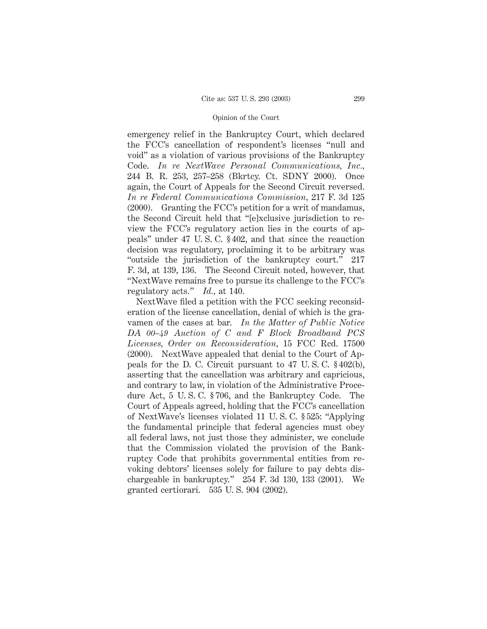emergency relief in the Bankruptcy Court, which declared the FCC's cancellation of respondent's licenses "null and void" as a violation of various provisions of the Bankruptcy Code. *In re NextWave Personal Communications, Inc.,* 244 B. R. 253, 257–258 (Bkrtcy. Ct. SDNY 2000). Once again, the Court of Appeals for the Second Circuit reversed. *In re Federal Communications Commission,* 217 F. 3d 125 (2000). Granting the FCC's petition for a writ of mandamus, the Second Circuit held that "[e]xclusive jurisdiction to review the FCC's regulatory action lies in the courts of appeals" under 47 U. S. C. § 402, and that since the reauction decision was regulatory, proclaiming it to be arbitrary was "outside the jurisdiction of the bankruptcy court." 217 F. 3d, at 139, 136. The Second Circuit noted, however, that "NextWave remains free to pursue its challenge to the FCC's regulatory acts." *Id.,* at 140.

NextWave filed a petition with the FCC seeking reconsideration of the license cancellation, denial of which is the gravamen of the cases at bar. *In the Matter of Public Notice DA 00–49 Auction of C and F Block Broadband PCS Licenses, Order on Reconsideration,* 15 FCC Rcd. 17500 (2000). NextWave appealed that denial to the Court of Appeals for the D. C. Circuit pursuant to 47 U. S. C. § 402(b), asserting that the cancellation was arbitrary and capricious, and contrary to law, in violation of the Administrative Procedure Act, 5 U. S. C. § 706, and the Bankruptcy Code. The Court of Appeals agreed, holding that the FCC's cancellation of NextWave's licenses violated 11 U. S. C. § 525: "Applying the fundamental principle that federal agencies must obey all federal laws, not just those they administer, we conclude that the Commission violated the provision of the Bankruptcy Code that prohibits governmental entities from revoking debtors' licenses solely for failure to pay debts dischargeable in bankruptcy."  $254$  F. 3d 130, 133 (2001). We granted certiorari. 535 U. S. 904 (2002).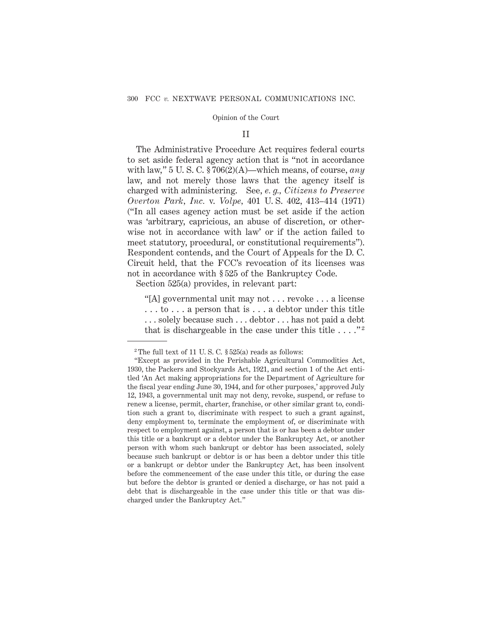## II

The Administrative Procedure Act requires federal courts to set aside federal agency action that is "not in accordance with law," 5 U. S. C. § 706(2)(A)—which means, of course, *any* law, and not merely those laws that the agency itself is charged with administering. See, *e. g., Citizens to Preserve Overton Park, Inc.* v. *Volpe,* 401 U. S. 402, 413–414 (1971) ("In all cases agency action must be set aside if the action was 'arbitrary, capricious, an abuse of discretion, or otherwise not in accordance with law' or if the action failed to meet statutory, procedural, or constitutional requirements"). Respondent contends, and the Court of Appeals for the D. C. Circuit held, that the FCC's revocation of its licenses was not in accordance with § 525 of the Bankruptcy Code.

Section 525(a) provides, in relevant part:

"[A] governmental unit may not . . . revoke . . . a license . . . to . . . a person that is . . . a debtor under this title . . . solely because such . . . debtor . . . has not paid a debt that is dischargeable in the case under this title  $\dots$ ."<sup>2</sup>

<sup>&</sup>lt;sup>2</sup> The full text of 11 U.S.C.  $\S 525(a)$  reads as follows:

<sup>&</sup>quot;Except as provided in the Perishable Agricultural Commodities Act, 1930, the Packers and Stockyards Act, 1921, and section 1 of the Act entitled 'An Act making appropriations for the Department of Agriculture for the fiscal year ending June 30, 1944, and for other purposes,' approved July 12, 1943, a governmental unit may not deny, revoke, suspend, or refuse to renew a license, permit, charter, franchise, or other similar grant to, condition such a grant to, discriminate with respect to such a grant against, deny employment to, terminate the employment of, or discriminate with respect to employment against, a person that is or has been a debtor under this title or a bankrupt or a debtor under the Bankruptcy Act, or another person with whom such bankrupt or debtor has been associated, solely because such bankrupt or debtor is or has been a debtor under this title or a bankrupt or debtor under the Bankruptcy Act, has been insolvent before the commencement of the case under this title, or during the case but before the debtor is granted or denied a discharge, or has not paid a debt that is dischargeable in the case under this title or that was discharged under the Bankruptcy Act."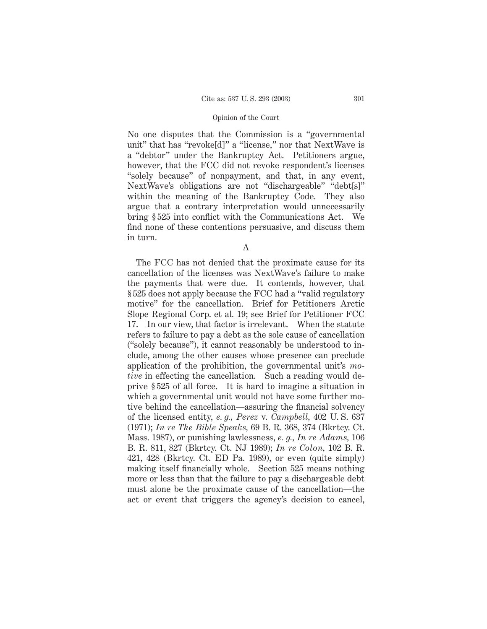No one disputes that the Commission is a "governmental unit" that has "revoke[d]" a "license," nor that NextWave is a "debtor" under the Bankruptcy Act. Petitioners argue, however, that the FCC did not revoke respondent's licenses "solely because" of nonpayment, and that, in any event, NextWave's obligations are not "dischargeable" "debt[s]" within the meaning of the Bankruptcy Code. They also argue that a contrary interpretation would unnecessarily bring § 525 into conflict with the Communications Act. We find none of these contentions persuasive, and discuss them in turn.

A

The FCC has not denied that the proximate cause for its cancellation of the licenses was NextWave's failure to make the payments that were due. It contends, however, that § 525 does not apply because the FCC had a "valid regulatory motive" for the cancellation. Brief for Petitioners Arctic Slope Regional Corp. et al*.* 19; see Brief for Petitioner FCC 17. In our view, that factor is irrelevant. When the statute refers to failure to pay a debt as the sole cause of cancellation ("solely because"), it cannot reasonably be understood to include, among the other causes whose presence can preclude application of the prohibition, the governmental unit's *motive* in effecting the cancellation. Such a reading would deprive § 525 of all force. It is hard to imagine a situation in which a governmental unit would not have some further motive behind the cancellation—assuring the financial solvency of the licensed entity, *e. g., Perez* v. *Campbell,* 402 U. S. 637 (1971); *In re The Bible Speaks,* 69 B. R. 368, 374 (Bkrtcy. Ct. Mass. 1987), or punishing lawlessness, *e. g., In re Adams,* 106 B. R. 811, 827 (Bkrtcy. Ct. NJ 1989); *In re Colon,* 102 B. R. 421, 428 (Bkrtcy. Ct. ED Pa. 1989), or even (quite simply) making itself financially whole. Section 525 means nothing more or less than that the failure to pay a dischargeable debt must alone be the proximate cause of the cancellation—the act or event that triggers the agency's decision to cancel,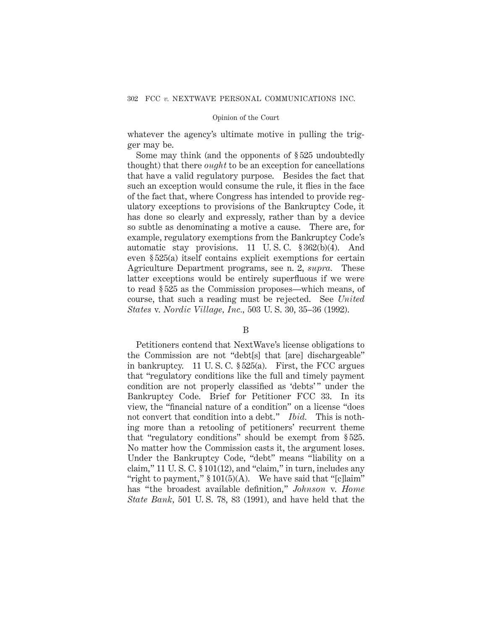whatever the agency's ultimate motive in pulling the trigger may be.

Some may think (and the opponents of § 525 undoubtedly thought) that there *ought* to be an exception for cancellations that have a valid regulatory purpose. Besides the fact that such an exception would consume the rule, it flies in the face of the fact that, where Congress has intended to provide regulatory exceptions to provisions of the Bankruptcy Code, it has done so clearly and expressly, rather than by a device so subtle as denominating a motive a cause. There are, for example, regulatory exemptions from the Bankruptcy Code's automatic stay provisions. 11 U. S. C. § 362(b)(4). And even § 525(a) itself contains explicit exemptions for certain Agriculture Department programs, see n. 2, *supra.* These latter exceptions would be entirely superfluous if we were to read § 525 as the Commission proposes—which means, of course, that such a reading must be rejected. See *United States* v. *Nordic Village, Inc.,* 503 U. S. 30, 35–36 (1992).

## B

Petitioners contend that NextWave's license obligations to the Commission are not "debt[s] that [are] dischargeable" in bankruptcy. 11 U. S. C. § 525(a). First, the FCC argues that "regulatory conditions like the full and timely payment condition are not properly classified as 'debts'" under the Bankruptcy Code. Brief for Petitioner FCC 33. In its view, the "financial nature of a condition" on a license "does not convert that condition into a debt." *Ibid.* This is nothing more than a retooling of petitioners' recurrent theme that "regulatory conditions" should be exempt from § 525. No matter how the Commission casts it, the argument loses. Under the Bankruptcy Code, "debt" means "liability on a claim," 11 U.S. C.  $\S 101(12)$ , and "claim," in turn, includes any "right to payment,"  $$101(5)(A)$ . We have said that "[c]laim" has "the broadest available definition," *Johnson* v. *Home State Bank,* 501 U. S. 78, 83 (1991), and have held that the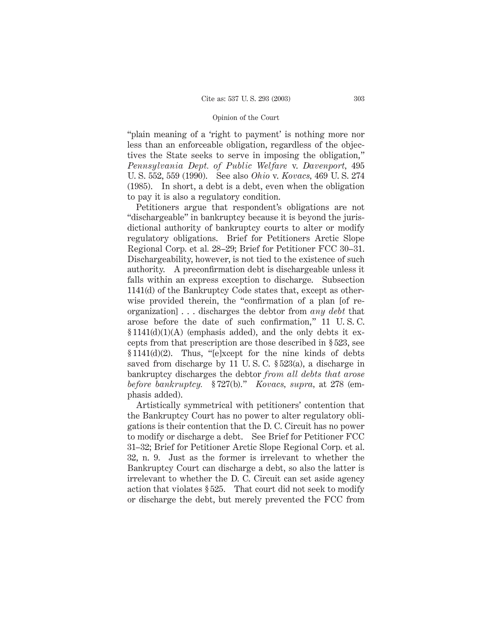"plain meaning of a 'right to payment' is nothing more nor less than an enforceable obligation, regardless of the objectives the State seeks to serve in imposing the obligation," *Pennsylvania Dept. of Public Welfare* v. *Davenport,* 495 U. S. 552, 559 (1990). See also *Ohio* v. *Kovacs,* 469 U. S. 274 (1985). In short, a debt is a debt, even when the obligation to pay it is also a regulatory condition.

Petitioners argue that respondent's obligations are not "dischargeable" in bankruptcy because it is beyond the jurisdictional authority of bankruptcy courts to alter or modify regulatory obligations. Brief for Petitioners Arctic Slope Regional Corp. et al*.* 28–29; Brief for Petitioner FCC 30–31. Dischargeability, however, is not tied to the existence of such authority. A preconfirmation debt is dischargeable unless it falls within an express exception to discharge. Subsection 1141(d) of the Bankruptcy Code states that, except as otherwise provided therein, the "confirmation of a plan [of reorganization] . . . discharges the debtor from *any debt* that arose before the date of such confirmation," 11 U. S. C.  $$1141(d)(1)(A)$  (emphasis added), and the only debts it excepts from that prescription are those described in § 523, see § 1141(d)(2). Thus, "[e]xcept for the nine kinds of debts saved from discharge by 11 U. S. C. § 523(a), a discharge in bankruptcy discharges the debtor *from all debts that arose before bankruptcy.* § 727(b)." *Kovacs, supra,* at 278 (emphasis added).

Artistically symmetrical with petitioners' contention that the Bankruptcy Court has no power to alter regulatory obligations is their contention that the D. C. Circuit has no power to modify or discharge a debt. See Brief for Petitioner FCC 31–32; Brief for Petitioner Arctic Slope Regional Corp. et al. 32, n. 9. Just as the former is irrelevant to whether the Bankruptcy Court can discharge a debt, so also the latter is irrelevant to whether the D. C. Circuit can set aside agency action that violates § 525. That court did not seek to modify or discharge the debt, but merely prevented the FCC from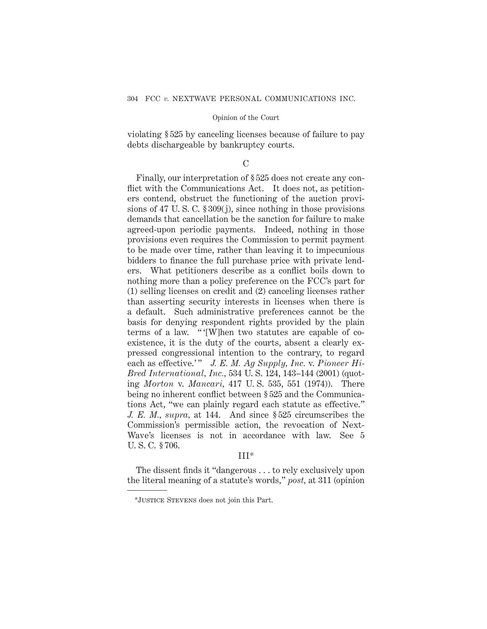violating § 525 by canceling licenses because of failure to pay debts dischargeable by bankruptcy courts.

# $\mathcal{C}$

Finally, our interpretation of § 525 does not create any conflict with the Communications Act. It does not, as petitioners contend, obstruct the functioning of the auction provisions of 47 U. S. C. § 309(j), since nothing in those provisions demands that cancellation be the sanction for failure to make agreed-upon periodic payments. Indeed, nothing in those provisions even requires the Commission to permit payment to be made over time, rather than leaving it to impecunious bidders to finance the full purchase price with private lenders. What petitioners describe as a conflict boils down to nothing more than a policy preference on the FCC's part for (1) selling licenses on credit and (2) canceling licenses rather than asserting security interests in licenses when there is a default. Such administrative preferences cannot be the basis for denying respondent rights provided by the plain terms of a law. " '[W]hen two statutes are capable of coexistence, it is the duty of the courts, absent a clearly expressed congressional intention to the contrary, to regard each as effective.'" J. E. M. Ag Supply, Inc. v. Pioneer Hi-*Bred International, Inc.,* 534 U. S. 124, 143–144 (2001) (quoting *Morton* v. *Mancari,* 417 U. S. 535, 551 (1974)). There being no inherent conflict between § 525 and the Communications Act, "we can plainly regard each statute as effective." *J. E. M., supra,* at 144. And since § 525 circumscribes the Commission's permissible action, the revocation of Next-Wave's licenses is not in accordance with law. See 5 U. S. C. § 706.

# III\*

The dissent finds it "dangerous . . . to rely exclusively upon the literal meaning of a statute's words," *post,* at 311 (opinion

<sup>\*</sup>Justice Stevens does not join this Part.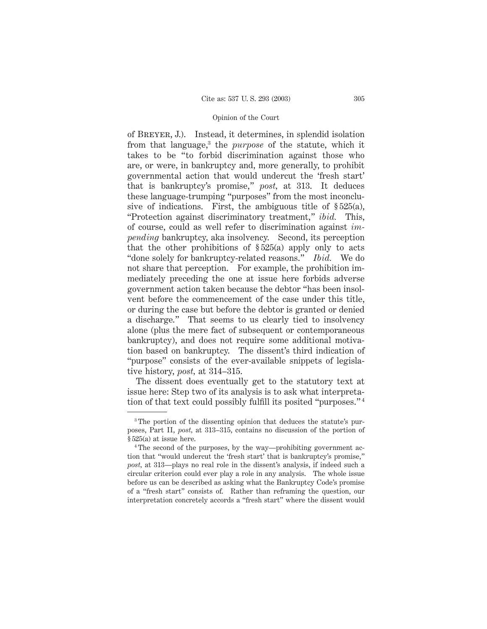of Breyer, J.). Instead, it determines, in splendid isolation from that language,3 the *purpose* of the statute, which it takes to be "to forbid discrimination against those who are, or were, in bankruptcy and, more generally, to prohibit governmental action that would undercut the 'fresh start' that is bankruptcy's promise," *post,* at 313. It deduces these language-trumping "purposes" from the most inconclusive of indications. First, the ambiguous title of  $\S 525(a)$ , "Protection against discriminatory treatment," *ibid.* This, of course, could as well refer to discrimination against *impending* bankruptcy, aka insolvency. Second, its perception that the other prohibitions of  $\S 525(a)$  apply only to acts "done solely for bankruptcy-related reasons." *Ibid.* We do not share that perception. For example, the prohibition immediately preceding the one at issue here forbids adverse government action taken because the debtor "has been insolvent before the commencement of the case under this title, or during the case but before the debtor is granted or denied a discharge." That seems to us clearly tied to insolvency alone (plus the mere fact of subsequent or contemporaneous bankruptcy), and does not require some additional motivation based on bankruptcy. The dissent's third indication of "purpose" consists of the ever-available snippets of legislative history, *post,* at 314–315.

The dissent does eventually get to the statutory text at issue here: Step two of its analysis is to ask what interpretation of that text could possibly fulfill its posited "purposes." <sup>4</sup>

<sup>&</sup>lt;sup>3</sup>The portion of the dissenting opinion that deduces the statute's purposes, Part II, *post,* at 313–315, contains no discussion of the portion of § 525(a) at issue here.

<sup>4</sup> The second of the purposes, by the way—prohibiting government action that "would undercut the 'fresh start' that is bankruptcy's promise," *post,* at 313—plays no real role in the dissent's analysis, if indeed such a circular criterion could ever play a role in any analysis. The whole issue before us can be described as asking what the Bankruptcy Code's promise of a "fresh start" consists of. Rather than reframing the question, our interpretation concretely accords a "fresh start" where the dissent would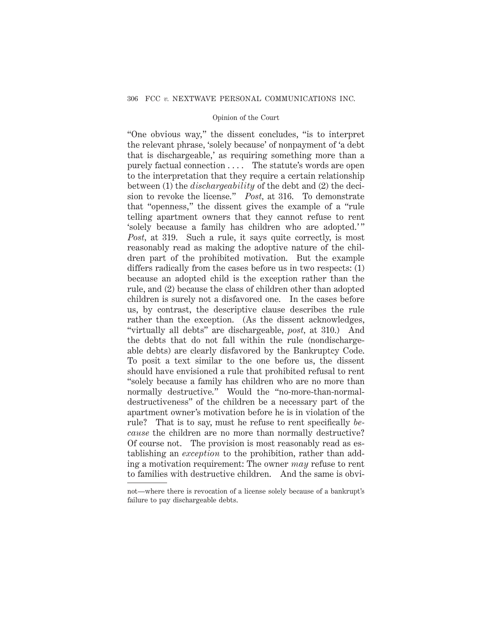"One obvious way," the dissent concludes, "is to interpret the relevant phrase, 'solely because' of nonpayment of 'a debt that is dischargeable,' as requiring something more than a purely factual connection . . . . The statute's words are open to the interpretation that they require a certain relationship between (1) the *dischargeability* of the debt and (2) the decision to revoke the license." *Post,* at 316. To demonstrate that "openness," the dissent gives the example of a "rule telling apartment owners that they cannot refuse to rent 'solely because a family has children who are adopted.' " *Post*, at 319. Such a rule, it says quite correctly, is most reasonably read as making the adoptive nature of the children part of the prohibited motivation. But the example differs radically from the cases before us in two respects: (1) because an adopted child is the exception rather than the rule, and (2) because the class of children other than adopted children is surely not a disfavored one. In the cases before us, by contrast, the descriptive clause describes the rule rather than the exception. (As the dissent acknowledges, "virtually all debts" are dischargeable, *post,* at 310.) And the debts that do not fall within the rule (nondischargeable debts) are clearly disfavored by the Bankruptcy Code. To posit a text similar to the one before us, the dissent should have envisioned a rule that prohibited refusal to rent "solely because a family has children who are no more than normally destructive." Would the "no-more-than-normaldestructiveness" of the children be a necessary part of the apartment owner's motivation before he is in violation of the rule? That is to say, must he refuse to rent specifically *because* the children are no more than normally destructive? Of course not. The provision is most reasonably read as establishing an *exception* to the prohibition, rather than adding a motivation requirement: The owner *may* refuse to rent to families with destructive children. And the same is obvi-

not—where there is revocation of a license solely because of a bankrupt's failure to pay dischargeable debts.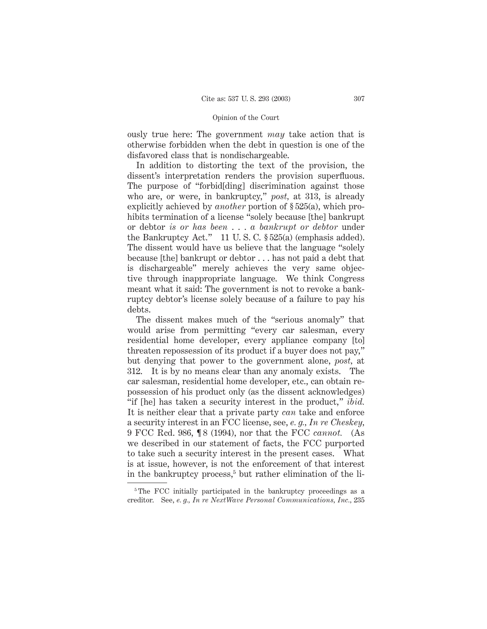ously true here: The government *may* take action that is otherwise forbidden when the debt in question is one of the disfavored class that is nondischargeable.

In addition to distorting the text of the provision, the dissent's interpretation renders the provision superfluous. The purpose of "forbid[ding] discrimination against those who are, or were, in bankruptcy," *post,* at 313, is already explicitly achieved by *another* portion of § 525(a), which prohibits termination of a license "solely because [the] bankrupt or debtor *is or has been* ... *a bankrupt or debtor* under the Bankruptcy Act." 11 U. S. C. § 525(a) (emphasis added). The dissent would have us believe that the language "solely because [the] bankrupt or debtor . . . has not paid a debt that is dischargeable" merely achieves the very same objective through inappropriate language. We think Congress meant what it said: The government is not to revoke a bankruptcy debtor's license solely because of a failure to pay his debts.

The dissent makes much of the "serious anomaly" that would arise from permitting "every car salesman, every residential home developer, every appliance company [to] threaten repossession of its product if a buyer does not pay," but denying that power to the government alone, *post,* at 312. It is by no means clear than any anomaly exists. The car salesman, residential home developer, etc., can obtain repossession of his product only (as the dissent acknowledges) "if [he] has taken a security interest in the product," *ibid.* It is neither clear that a private party *can* take and enforce a security interest in an FCC license, see, *e. g., In re Cheskey,* 9 FCC Rcd. 986, ¶ 8 (1994), nor that the FCC *cannot.* (As we described in our statement of facts, the FCC purported to take such a security interest in the present cases. What is at issue, however, is not the enforcement of that interest in the bankruptcy process,<sup>5</sup> but rather elimination of the li-

<sup>&</sup>lt;sup>5</sup>The FCC initially participated in the bankruptcy proceedings as a creditor. See, *e. g., In re NextWave Personal Communications, Inc.,* 235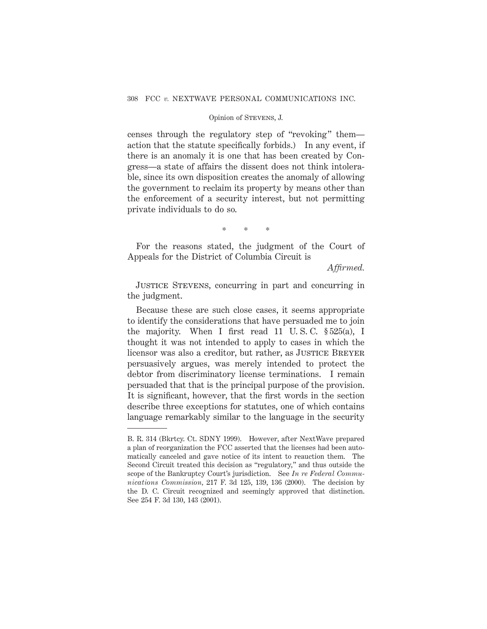# Opinion of Stevens, J.

censes through the regulatory step of "revoking" them action that the statute specifically forbids.) In any event, if there is an anomaly it is one that has been created by Congress—a state of affairs the dissent does not think intolerable, since its own disposition creates the anomaly of allowing the government to reclaim its property by means other than the enforcement of a security interest, but not permitting private individuals to do so.

\*\*\*

For the reasons stated, the judgment of the Court of Appeals for the District of Columbia Circuit is

*Affirmed.*

Justice Stevens, concurring in part and concurring in the judgment.

Because these are such close cases, it seems appropriate to identify the considerations that have persuaded me to join the majority. When I first read 11 U. S. C. § 525(a), I thought it was not intended to apply to cases in which the licensor was also a creditor, but rather, as JUSTICE BREYER persuasively argues, was merely intended to protect the debtor from discriminatory license terminations. I remain persuaded that that is the principal purpose of the provision. It is significant, however, that the first words in the section describe three exceptions for statutes, one of which contains language remarkably similar to the language in the security

B. R. 314 (Bkrtcy. Ct. SDNY 1999). However, after NextWave prepared a plan of reorganization the FCC asserted that the licenses had been automatically canceled and gave notice of its intent to reauction them. The Second Circuit treated this decision as "regulatory," and thus outside the scope of the Bankruptcy Court's jurisdiction. See *In re Federal Communications Commission,* 217 F. 3d 125, 139, 136 (2000). The decision by the D. C. Circuit recognized and seemingly approved that distinction. See 254 F. 3d 130, 143 (2001).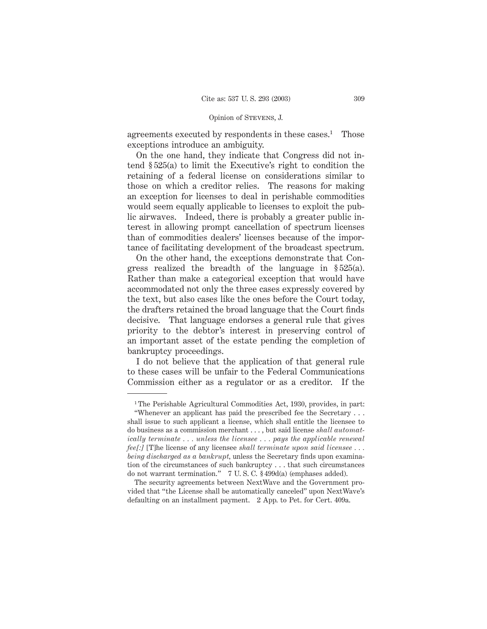## Opinion of Stevens, J.

agreements executed by respondents in these cases.<sup>1</sup> Those exceptions introduce an ambiguity.

On the one hand, they indicate that Congress did not intend § 525(a) to limit the Executive's right to condition the retaining of a federal license on considerations similar to those on which a creditor relies. The reasons for making an exception for licenses to deal in perishable commodities would seem equally applicable to licenses to exploit the public airwaves. Indeed, there is probably a greater public interest in allowing prompt cancellation of spectrum licenses than of commodities dealers' licenses because of the importance of facilitating development of the broadcast spectrum.

On the other hand, the exceptions demonstrate that Congress realized the breadth of the language in § 525(a). Rather than make a categorical exception that would have accommodated not only the three cases expressly covered by the text, but also cases like the ones before the Court today, the drafters retained the broad language that the Court finds decisive. That language endorses a general rule that gives priority to the debtor's interest in preserving control of an important asset of the estate pending the completion of bankruptcy proceedings.

I do not believe that the application of that general rule to these cases will be unfair to the Federal Communications Commission either as a regulator or as a creditor. If the

<sup>&</sup>lt;sup>1</sup>The Perishable Agricultural Commodities Act, 1930, provides, in part: "Whenever an applicant has paid the prescribed fee the Secretary . . .

shall issue to such applicant a license, which shall entitle the licensee to do business as a commission merchant . . . , but said license *shall automatically terminate . . . unless the licensee . . . pays the applicable renewal fee[:]* [T]he license of any licensee *shall terminate upon said licensee . . . being discharged as a bankrupt,* unless the Secretary finds upon examination of the circumstances of such bankruptcy . . . that such circumstances do not warrant termination." 7 U. S. C. § 499d(a) (emphases added).

The security agreements between NextWave and the Government provided that "the License shall be automatically canceled" upon NextWave's defaulting on an installment payment. 2 App. to Pet. for Cert. 409a.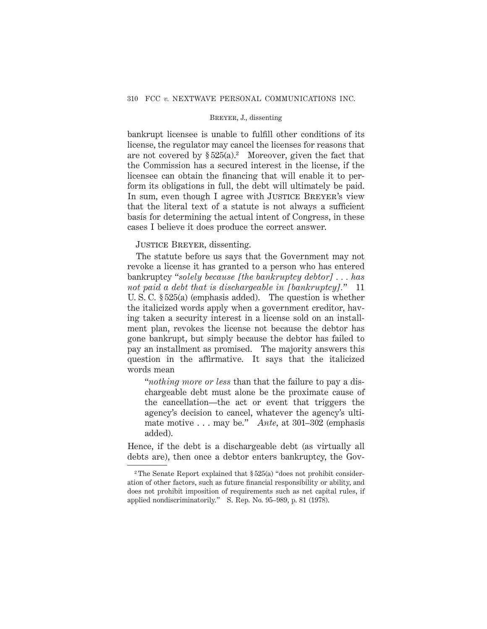bankrupt licensee is unable to fulfill other conditions of its license, the regulator may cancel the licenses for reasons that are not covered by  $\S 525(a)^2$  Moreover, given the fact that the Commission has a secured interest in the license, if the licensee can obtain the financing that will enable it to perform its obligations in full, the debt will ultimately be paid. In sum, even though I agree with JUSTICE BREYER's view that the literal text of a statute is not always a sufficient basis for determining the actual intent of Congress, in these cases I believe it does produce the correct answer.

JUSTICE BREYER, dissenting.

The statute before us says that the Government may not revoke a license it has granted to a person who has entered bankruptcy "*solely because [the bankruptcy debtor] . . . has not paid a debt that is dischargeable in [bankruptcy].*" 11 U. S. C. § 525(a) (emphasis added). The question is whether the italicized words apply when a government creditor, having taken a security interest in a license sold on an installment plan, revokes the license not because the debtor has gone bankrupt, but simply because the debtor has failed to pay an installment as promised. The majority answers this question in the affirmative. It says that the italicized words mean

"*nothing more or less* than that the failure to pay a dischargeable debt must alone be the proximate cause of the cancellation—the act or event that triggers the agency's decision to cancel, whatever the agency's ultimate motive . . . may be." *Ante,* at 301–302 (emphasis added).

Hence, if the debt is a dischargeable debt (as virtually all debts are), then once a debtor enters bankruptcy, the Gov-

<sup>&</sup>lt;sup>2</sup> The Senate Report explained that  $\S 525(a)$  "does not prohibit consideration of other factors, such as future financial responsibility or ability, and does not prohibit imposition of requirements such as net capital rules, if applied nondiscriminatorily." S. Rep. No. 95–989, p. 81 (1978).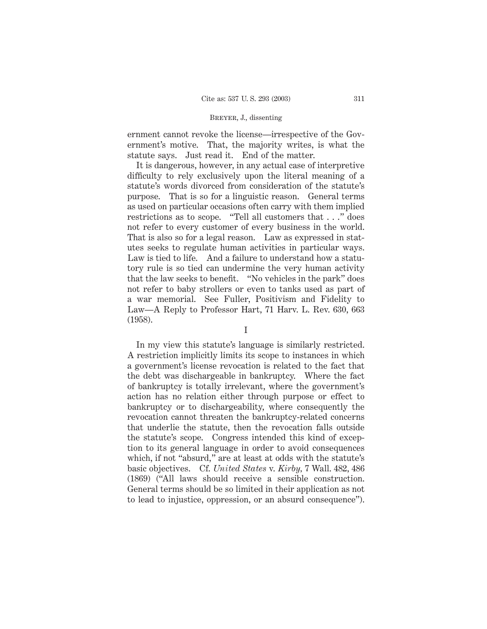ernment cannot revoke the license—irrespective of the Government's motive. That, the majority writes, is what the statute says. Just read it. End of the matter.

It is dangerous, however, in any actual case of interpretive difficulty to rely exclusively upon the literal meaning of a statute's words divorced from consideration of the statute's purpose. That is so for a linguistic reason. General terms as used on particular occasions often carry with them implied restrictions as to scope. "Tell all customers that . . ." does not refer to every customer of every business in the world. That is also so for a legal reason. Law as expressed in statutes seeks to regulate human activities in particular ways. Law is tied to life. And a failure to understand how a statutory rule is so tied can undermine the very human activity that the law seeks to benefit. "No vehicles in the park" does not refer to baby strollers or even to tanks used as part of a war memorial. See Fuller, Positivism and Fidelity to Law—A Reply to Professor Hart, 71 Harv. L. Rev. 630, 663 (1958).

In my view this statute's language is similarly restricted. A restriction implicitly limits its scope to instances in which a government's license revocation is related to the fact that the debt was dischargeable in bankruptcy. Where the fact of bankruptcy is totally irrelevant, where the government's action has no relation either through purpose or effect to bankruptcy or to dischargeability, where consequently the revocation cannot threaten the bankruptcy-related concerns that underlie the statute, then the revocation falls outside the statute's scope. Congress intended this kind of exception to its general language in order to avoid consequences which, if not "absurd," are at least at odds with the statute's basic objectives. Cf. *United States* v. *Kirby,* 7 Wall. 482, 486 (1869) ("All laws should receive a sensible construction. General terms should be so limited in their application as not to lead to injustice, oppression, or an absurd consequence").

I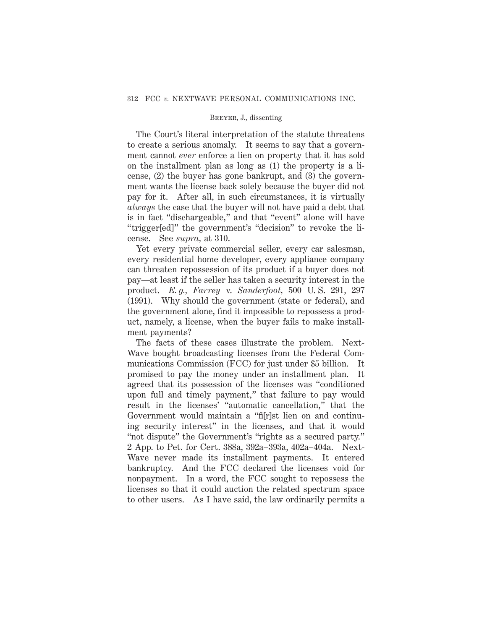The Court's literal interpretation of the statute threatens to create a serious anomaly. It seems to say that a government cannot *ever* enforce a lien on property that it has sold on the installment plan as long as (1) the property is a license, (2) the buyer has gone bankrupt, and (3) the government wants the license back solely because the buyer did not pay for it. After all, in such circumstances, it is virtually *always* the case that the buyer will not have paid a debt that is in fact "dischargeable," and that "event" alone will have "trigger[ed]" the government's "decision" to revoke the license. See *supra,* at 310.

Yet every private commercial seller, every car salesman, every residential home developer, every appliance company can threaten repossession of its product if a buyer does not pay—at least if the seller has taken a security interest in the product. *E. g., Farrey* v. *Sanderfoot,* 500 U. S. 291, 297 (1991). Why should the government (state or federal), and the government alone, find it impossible to repossess a product, namely, a license, when the buyer fails to make installment payments?

The facts of these cases illustrate the problem. Next-Wave bought broadcasting licenses from the Federal Communications Commission (FCC) for just under \$5 billion. It promised to pay the money under an installment plan. It agreed that its possession of the licenses was "conditioned upon full and timely payment," that failure to pay would result in the licenses' "automatic cancellation," that the Government would maintain a "fi[r]st lien on and continuing security interest" in the licenses, and that it would "not dispute" the Government's "rights as a secured party." 2 App. to Pet. for Cert. 388a, 392a–393a, 402a–404a. Next-Wave never made its installment payments. It entered bankruptcy. And the FCC declared the licenses void for nonpayment. In a word, the FCC sought to repossess the licenses so that it could auction the related spectrum space to other users. As I have said, the law ordinarily permits a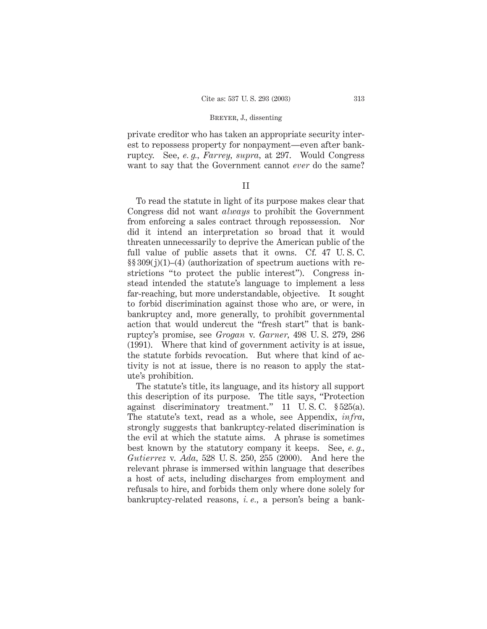private creditor who has taken an appropriate security interest to repossess property for nonpayment—even after bankruptcy. See, *e. g., Farrey, supra,* at 297. Would Congress want to say that the Government cannot *ever* do the same?

# II

To read the statute in light of its purpose makes clear that Congress did not want *always* to prohibit the Government from enforcing a sales contract through repossession. Nor did it intend an interpretation so broad that it would threaten unnecessarily to deprive the American public of the full value of public assets that it owns. Cf. 47 U. S. C.  $\S\S 309(j)(1)–(4)$  (authorization of spectrum auctions with restrictions "to protect the public interest"). Congress instead intended the statute's language to implement a less far-reaching, but more understandable, objective. It sought to forbid discrimination against those who are, or were, in bankruptcy and, more generally, to prohibit governmental action that would undercut the "fresh start" that is bankruptcy's promise, see *Grogan* v. *Garner,* 498 U. S. 279, 286 (1991). Where that kind of government activity is at issue, the statute forbids revocation. But where that kind of activity is not at issue, there is no reason to apply the statute's prohibition.

The statute's title, its language, and its history all support this description of its purpose. The title says, "Protection against discriminatory treatment." 11 U. S. C. § 525(a). The statute's text, read as a whole, see Appendix, *infra,* strongly suggests that bankruptcy-related discrimination is the evil at which the statute aims. A phrase is sometimes best known by the statutory company it keeps. See, *e. g., Gutierrez* v. *Ada,* 528 U. S. 250, 255 (2000). And here the relevant phrase is immersed within language that describes a host of acts, including discharges from employment and refusals to hire, and forbids them only where done solely for bankruptcy-related reasons, *i. e.,* a person's being a bank-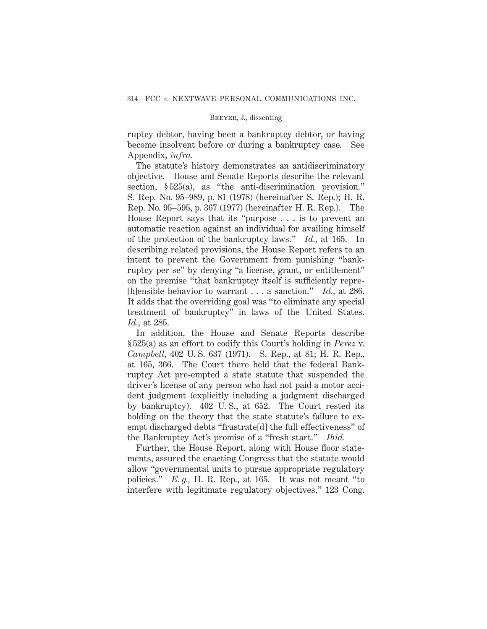ruptcy debtor, having been a bankruptcy debtor, or having become insolvent before or during a bankruptcy case. See Appendix, *infra.*

The statute's history demonstrates an antidiscriminatory objective. House and Senate Reports describe the relevant section, §525(a), as "the anti-discrimination provision." S. Rep. No. 95–989, p. 81 (1978) (hereinafter S. Rep.); H. R. Rep. No. 95–595, p. 367 (1977) (hereinafter H. R. Rep.). The House Report says that its "purpose . . . is to prevent an automatic reaction against an individual for availing himself of the protection of the bankruptcy laws." *Id.,* at 165. In describing related provisions, the House Report refers to an intent to prevent the Government from punishing "bankruptcy per se" by denying "a license, grant, or entitlement" on the premise "that bankruptcy itself is sufficiently repre- [h]ensible behavior to warrant . . . a sanction." *Id.,* at 286. It adds that the overriding goal was "to eliminate any special treatment of bankruptcy" in laws of the United States. *Id.,* at 285.

In addition, the House and Senate Reports describe § 525(a) as an effort to codify this Court's holding in *Perez* v. *Campbell,* 402 U. S. 637 (1971). S. Rep., at 81; H. R. Rep., at 165, 366. The Court there held that the federal Bankruptcy Act pre-empted a state statute that suspended the driver's license of any person who had not paid a motor accident judgment (explicitly including a judgment discharged by bankruptcy). 402 U. S., at 652. The Court rested its holding on the theory that the state statute's failure to exempt discharged debts "frustrate[d] the full effectiveness" of the Bankruptcy Act's promise of a "fresh start." *Ibid.*

Further, the House Report, along with House floor statements, assured the enacting Congress that the statute would allow "governmental units to pursue appropriate regulatory policies." *E. g.,* H. R. Rep., at 165. It was not meant "to interfere with legitimate regulatory objectives," 123 Cong.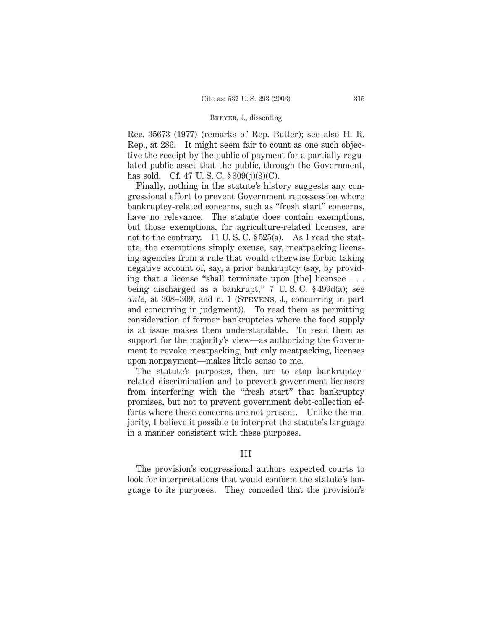Rec. 35673 (1977) (remarks of Rep. Butler); see also H. R. Rep., at 286. It might seem fair to count as one such objective the receipt by the public of payment for a partially regulated public asset that the public, through the Government, has sold. Cf. 47 U.S.C.  $$309(j)(3)(C)$ .

Finally, nothing in the statute's history suggests any congressional effort to prevent Government repossession where bankruptcy-related concerns, such as "fresh start" concerns, have no relevance. The statute does contain exemptions, but those exemptions, for agriculture-related licenses, are not to the contrary. 11 U.S.C.  $\S 525(a)$ . As I read the statute, the exemptions simply excuse, say, meatpacking licensing agencies from a rule that would otherwise forbid taking negative account of, say, a prior bankruptcy (say, by providing that a license "shall terminate upon [the] licensee... being discharged as a bankrupt," 7 U. S. C. § 499d(a); see *ante*, at 308–309, and n. 1 (STEVENS, J., concurring in part and concurring in judgment)). To read them as permitting consideration of former bankruptcies where the food supply is at issue makes them understandable. To read them as support for the majority's view—as authorizing the Government to revoke meatpacking, but only meatpacking, licenses upon nonpayment—makes little sense to me.

The statute's purposes, then, are to stop bankruptcyrelated discrimination and to prevent government licensors from interfering with the "fresh start" that bankruptcy promises, but not to prevent government debt-collection efforts where these concerns are not present. Unlike the majority, I believe it possible to interpret the statute's language in a manner consistent with these purposes.

# III

The provision's congressional authors expected courts to look for interpretations that would conform the statute's language to its purposes. They conceded that the provision's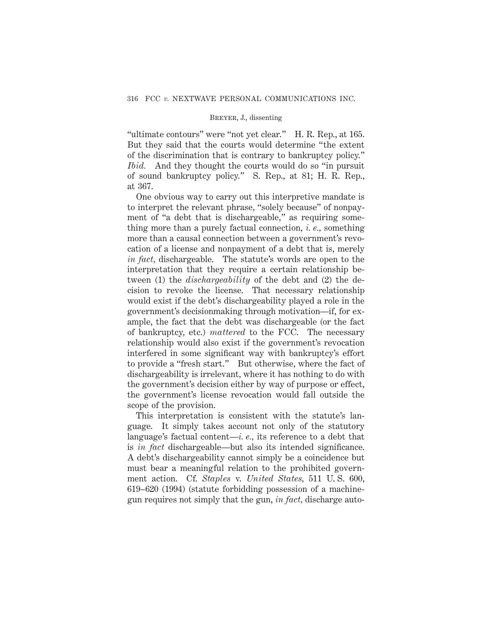"ultimate contours" were "not yet clear." H. R. Rep., at 165. But they said that the courts would determine "the extent of the discrimination that is contrary to bankruptcy policy." *Ibid.* And they thought the courts would do so "in pursuit of sound bankruptcy policy." S. Rep., at 81; H. R. Rep., at 367.

One obvious way to carry out this interpretive mandate is to interpret the relevant phrase, "solely because" of nonpayment of "a debt that is dischargeable," as requiring something more than a purely factual connection, *i. e.,* something more than a causal connection between a government's revocation of a license and nonpayment of a debt that is, merely *in fact,* dischargeable. The statute's words are open to the interpretation that they require a certain relationship between (1) the *dischargeability* of the debt and (2) the decision to revoke the license. That necessary relationship would exist if the debt's dischargeability played a role in the government's decisionmaking through motivation—if, for example, the fact that the debt was dischargeable (or the fact of bankruptcy, etc.) *mattered* to the FCC. The necessary relationship would also exist if the government's revocation interfered in some significant way with bankruptcy's effort to provide a "fresh start." But otherwise, where the fact of dischargeability is irrelevant, where it has nothing to do with the government's decision either by way of purpose or effect, the government's license revocation would fall outside the scope of the provision.

This interpretation is consistent with the statute's language. It simply takes account not only of the statutory language's factual content—*i. e.,* its reference to a debt that is *in fact* dischargeable—but also its intended significance. A debt's dischargeability cannot simply be a coincidence but must bear a meaningful relation to the prohibited government action. Cf. *Staples* v. *United States,* 511 U. S. 600, 619–620 (1994) (statute forbidding possession of a machinegun requires not simply that the gun, *in fact,* discharge auto-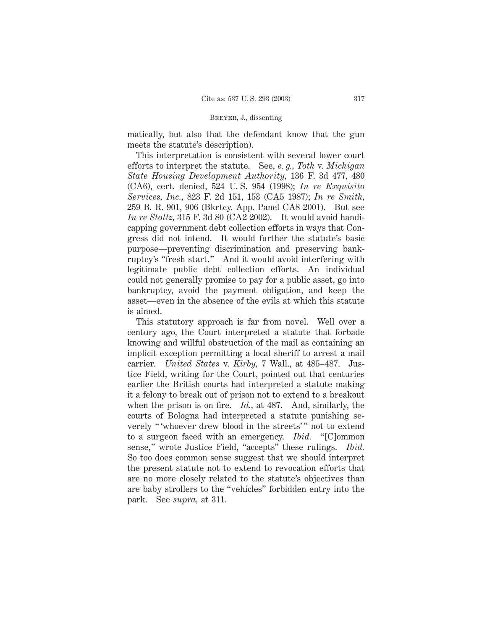matically, but also that the defendant know that the gun meets the statute's description).

This interpretation is consistent with several lower court efforts to interpret the statute. See, *e. g., Toth* v. *Michigan State Housing Development Authority,* 136 F. 3d 477, 480 (CA6), cert. denied, 524 U. S. 954 (1998); *In re Exquisito Services, Inc.,* 823 F. 2d 151, 153 (CA5 1987); *In re Smith,* 259 B. R. 901, 906 (Bkrtcy. App. Panel CA8 2001). But see *In re Stoltz,* 315 F. 3d 80 (CA2 2002). It would avoid handicapping government debt collection efforts in ways that Congress did not intend. It would further the statute's basic purpose—preventing discrimination and preserving bankruptcy's "fresh start." And it would avoid interfering with legitimate public debt collection efforts. An individual could not generally promise to pay for a public asset, go into bankruptcy, avoid the payment obligation, and keep the asset—even in the absence of the evils at which this statute is aimed.

This statutory approach is far from novel. Well over a century ago, the Court interpreted a statute that forbade knowing and willful obstruction of the mail as containing an implicit exception permitting a local sheriff to arrest a mail carrier. *United States* v. *Kirby,* 7 Wall., at 485–487. Justice Field, writing for the Court, pointed out that centuries earlier the British courts had interpreted a statute making it a felony to break out of prison not to extend to a breakout when the prison is on fire. *Id.,* at 487. And, similarly, the courts of Bologna had interpreted a statute punishing severely "'whoever drew blood in the streets'" not to extend to a surgeon faced with an emergency. *Ibid.* "[C]ommon sense," wrote Justice Field, "accepts" these rulings. *Ibid.* So too does common sense suggest that we should interpret the present statute not to extend to revocation efforts that are no more closely related to the statute's objectives than are baby strollers to the "vehicles" forbidden entry into the park. See *supra,* at 311.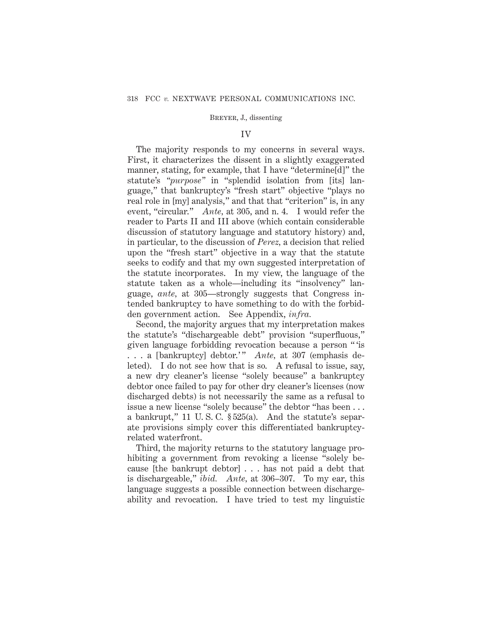### IV

The majority responds to my concerns in several ways. First, it characterizes the dissent in a slightly exaggerated manner, stating, for example, that I have "determine[d]" the statute's *"purpose"* in "splendid isolation from [its] language," that bankruptcy's "fresh start" objective "plays no real role in [my] analysis," and that that "criterion" is, in any event, "circular." *Ante,* at 305, and n. 4. I would refer the reader to Parts II and III above (which contain considerable discussion of statutory language and statutory history) and, in particular, to the discussion of *Perez,* a decision that relied upon the "fresh start" objective in a way that the statute seeks to codify and that my own suggested interpretation of the statute incorporates. In my view, the language of the statute taken as a whole—including its "insolvency" language, *ante,* at 305—strongly suggests that Congress intended bankruptcy to have something to do with the forbidden government action. See Appendix, *infra.*

Second, the majority argues that my interpretation makes the statute's "dischargeable debt" provision "superfluous," given language forbidding revocation because a person " 'is ... a [bankruptcy] debtor.'" *Ante*, at 307 (emphasis deleted). I do not see how that is so. A refusal to issue, say, a new dry cleaner's license "solely because" a bankruptcy debtor once failed to pay for other dry cleaner's licenses (now discharged debts) is not necessarily the same as a refusal to issue a new license "solely because" the debtor "has been . . . a bankrupt," 11 U. S. C. § 525(a). And the statute's separate provisions simply cover this differentiated bankruptcyrelated waterfront.

Third, the majority returns to the statutory language prohibiting a government from revoking a license "solely because [the bankrupt debtor] . . . has not paid a debt that is dischargeable," *ibid. Ante,* at 306–307. To my ear, this language suggests a possible connection between dischargeability and revocation. I have tried to test my linguistic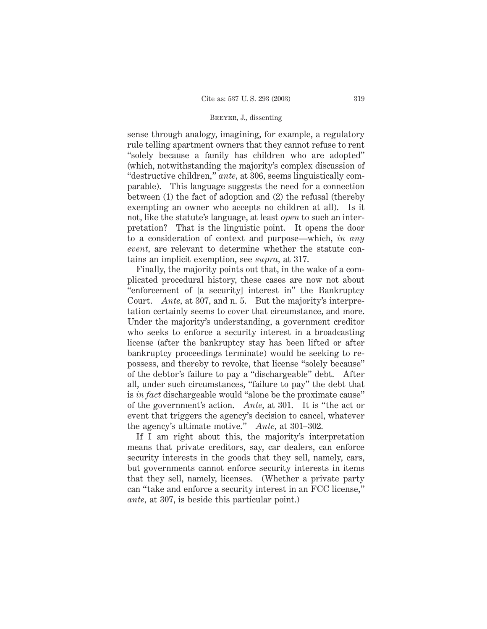sense through analogy, imagining, for example, a regulatory rule telling apartment owners that they cannot refuse to rent "solely because a family has children who are adopted" (which, notwithstanding the majority's complex discussion of "destructive children," *ante,* at 306, seems linguistically comparable). This language suggests the need for a connection between (1) the fact of adoption and (2) the refusal (thereby exempting an owner who accepts no children at all). Is it not, like the statute's language, at least *open* to such an interpretation? That is the linguistic point. It opens the door to a consideration of context and purpose—which, *in any event,* are relevant to determine whether the statute contains an implicit exemption, see *supra,* at 317.

Finally, the majority points out that, in the wake of a complicated procedural history, these cases are now not about "enforcement of [a security] interest in" the Bankruptcy Court. *Ante,* at 307, and n. 5. But the majority's interpretation certainly seems to cover that circumstance, and more. Under the majority's understanding, a government creditor who seeks to enforce a security interest in a broadcasting license (after the bankruptcy stay has been lifted or after bankruptcy proceedings terminate) would be seeking to repossess, and thereby to revoke, that license "solely because" of the debtor's failure to pay a "dischargeable" debt. After all, under such circumstances, "failure to pay" the debt that is *in fact* dischargeable would "alone be the proximate cause" of the government's action. *Ante,* at 301. It is "the act or event that triggers the agency's decision to cancel, whatever the agency's ultimate motive." *Ante,* at 301–302.

If I am right about this, the majority's interpretation means that private creditors, say, car dealers, can enforce security interests in the goods that they sell, namely, cars, but governments cannot enforce security interests in items that they sell, namely, licenses. (Whether a private party can "take and enforce a security interest in an FCC license," *ante,* at 307, is beside this particular point.)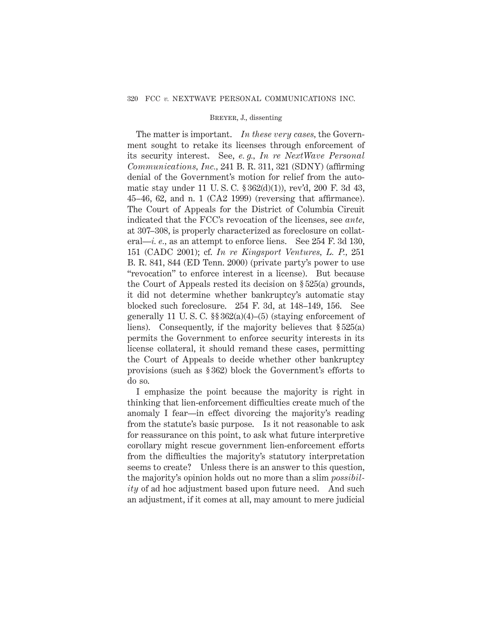The matter is important. *In these very cases,* the Government sought to retake its licenses through enforcement of its security interest. See, *e. g., In re NextWave Personal Communications, Inc.,* 241 B. R. 311, 321 (SDNY) (affirming denial of the Government's motion for relief from the automatic stay under 11 U. S. C. § 362(d)(1)), rev'd, 200 F. 3d 43, 45–46, 62, and n. 1 (CA2 1999) (reversing that affirmance). The Court of Appeals for the District of Columbia Circuit indicated that the FCC's revocation of the licenses, see *ante,* at 307–308, is properly characterized as foreclosure on collateral—*i. e.,* as an attempt to enforce liens. See 254 F. 3d 130, 151 (CADC 2001); cf. *In re Kingsport Ventures, L. P.,* 251 B. R. 841, 844 (ED Tenn. 2000) (private party's power to use "revocation" to enforce interest in a license). But because the Court of Appeals rested its decision on § 525(a) grounds, it did not determine whether bankruptcy's automatic stay blocked such foreclosure. 254 F. 3d, at 148–149, 156. See generally 11 U.S.C.  $\S$  $362(a)(4)$ – $(5)$  (staying enforcement of liens). Consequently, if the majority believes that § 525(a) permits the Government to enforce security interests in its license collateral, it should remand these cases, permitting the Court of Appeals to decide whether other bankruptcy provisions (such as § 362) block the Government's efforts to do so.

I emphasize the point because the majority is right in thinking that lien-enforcement difficulties create much of the anomaly I fear—in effect divorcing the majority's reading from the statute's basic purpose. Is it not reasonable to ask for reassurance on this point, to ask what future interpretive corollary might rescue government lien-enforcement efforts from the difficulties the majority's statutory interpretation seems to create? Unless there is an answer to this question, the majority's opinion holds out no more than a slim *possibility* of ad hoc adjustment based upon future need. And such an adjustment, if it comes at all, may amount to mere judicial